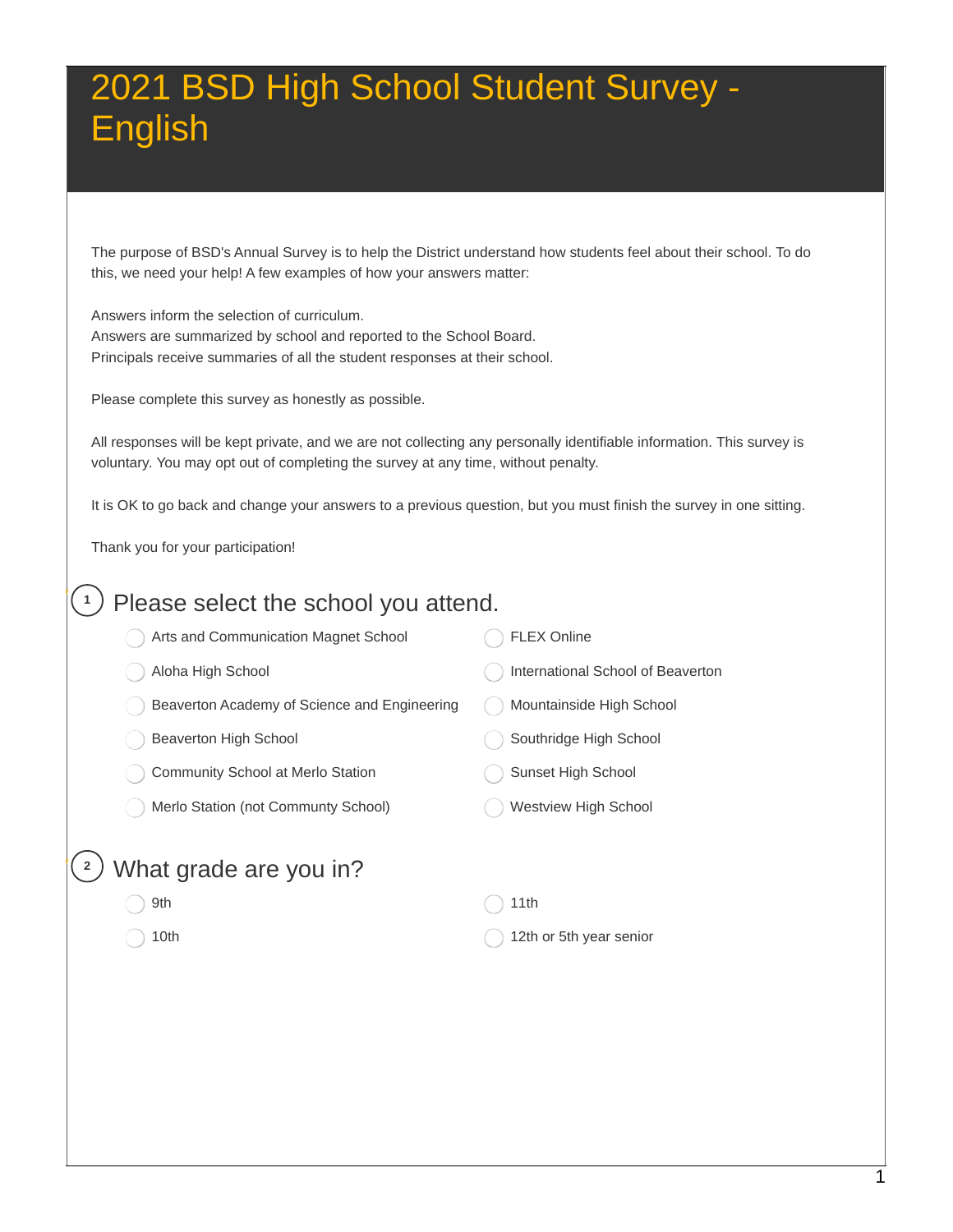The purpose of BSD's Annual Survey is to help the District understand how students feel about their school. To do this, we need your help! A few examples of how your answers matter:

 Answers inform the selection of curriculum. Answers are summarized by school and reported to the School Board. Principals receive summaries of all the student responses at their school.

Please complete this survey as honestly as possible.

 All responses will be kept private, and we are not collecting any personally identifiable information. This survey is voluntary. You may opt out of completing the survey at any time, without penalty.

It is OK to go back and change your answers to a previous question, but you must finish the survey in one sitting.

Thank you for your participation!

| Please select the school you attend.<br>1    |                                   |  |  |  |  |
|----------------------------------------------|-----------------------------------|--|--|--|--|
| Arts and Communication Magnet School         | FLEX Online                       |  |  |  |  |
| Aloha High School                            | International School of Beaverton |  |  |  |  |
| Beaverton Academy of Science and Engineering | Mountainside High School          |  |  |  |  |
| Beaverton High School                        | Southridge High School            |  |  |  |  |
| Community School at Merlo Station            | Sunset High School                |  |  |  |  |
| Merlo Station (not Communty School)          | Westview High School              |  |  |  |  |
| What grade are you in?<br>9th<br>10th        | 11th<br>12th or 5th year senior   |  |  |  |  |
|                                              |                                   |  |  |  |  |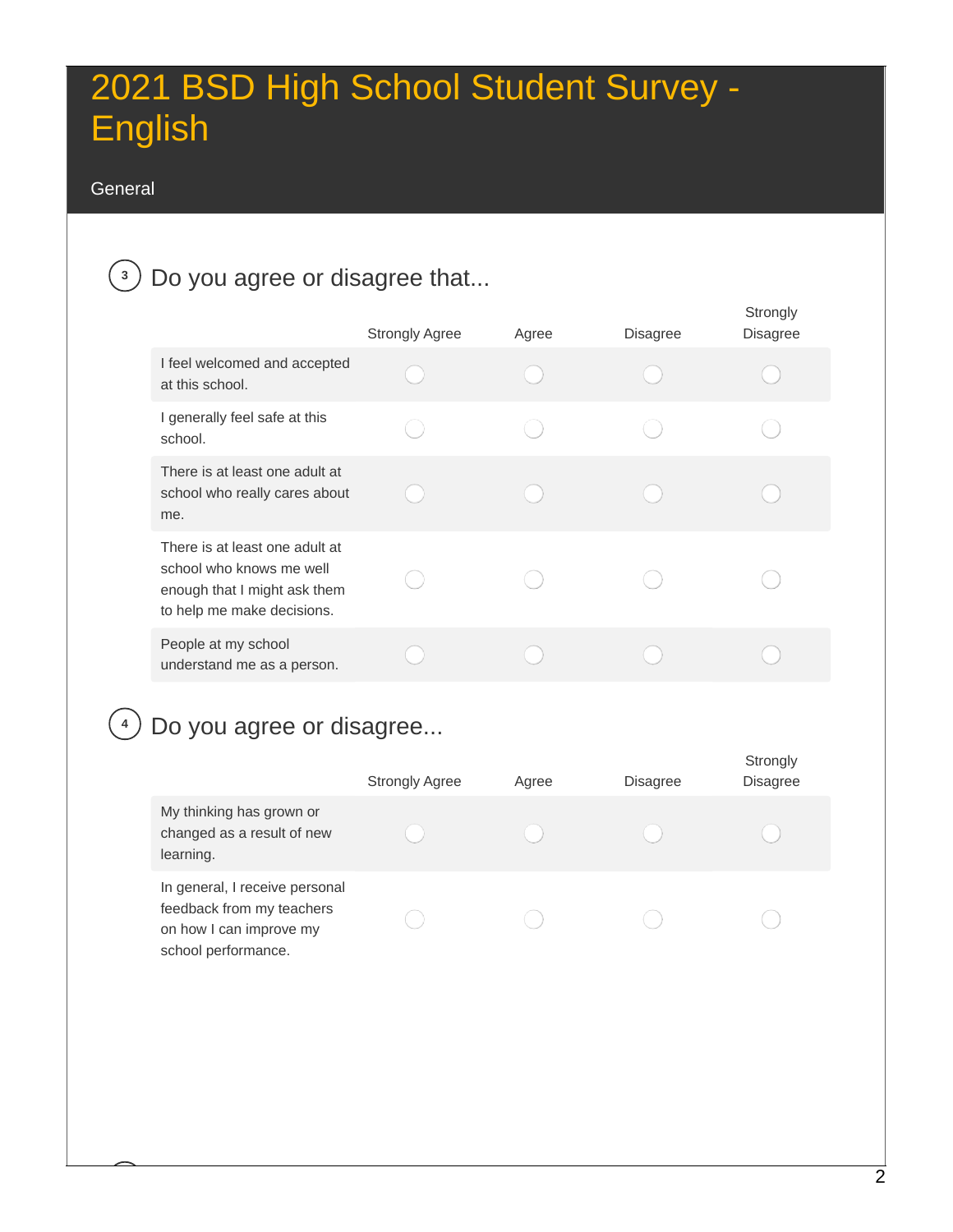#### General

### **<sup>3</sup>** Do you agree or disagree that...

|                                                                                                                          | <b>Strongly Agree</b> | Agree | Disagree | Strongly<br><b>Disagree</b> |
|--------------------------------------------------------------------------------------------------------------------------|-----------------------|-------|----------|-----------------------------|
| I feel welcomed and accepted<br>at this school.                                                                          |                       |       |          |                             |
| I generally feel safe at this<br>school.                                                                                 |                       |       |          |                             |
| There is at least one adult at<br>school who really cares about<br>me.                                                   |                       |       |          |                             |
| There is at least one adult at<br>school who knows me well<br>enough that I might ask them<br>to help me make decisions. |                       |       |          |                             |
| People at my school<br>understand me as a person.                                                                        |                       |       |          |                             |

### **<sup>4</sup>** Do you agree or disagree...

|                                                                                                               | <b>Strongly Agree</b> | Agree | <b>Disagree</b> | <b>SUPPLICE</b><br>Disagree |
|---------------------------------------------------------------------------------------------------------------|-----------------------|-------|-----------------|-----------------------------|
| My thinking has grown or<br>changed as a result of new<br>learning.                                           |                       |       |                 |                             |
| In general, I receive personal<br>feedback from my teachers<br>on how I can improve my<br>school performance. |                       |       |                 |                             |

Ctrongly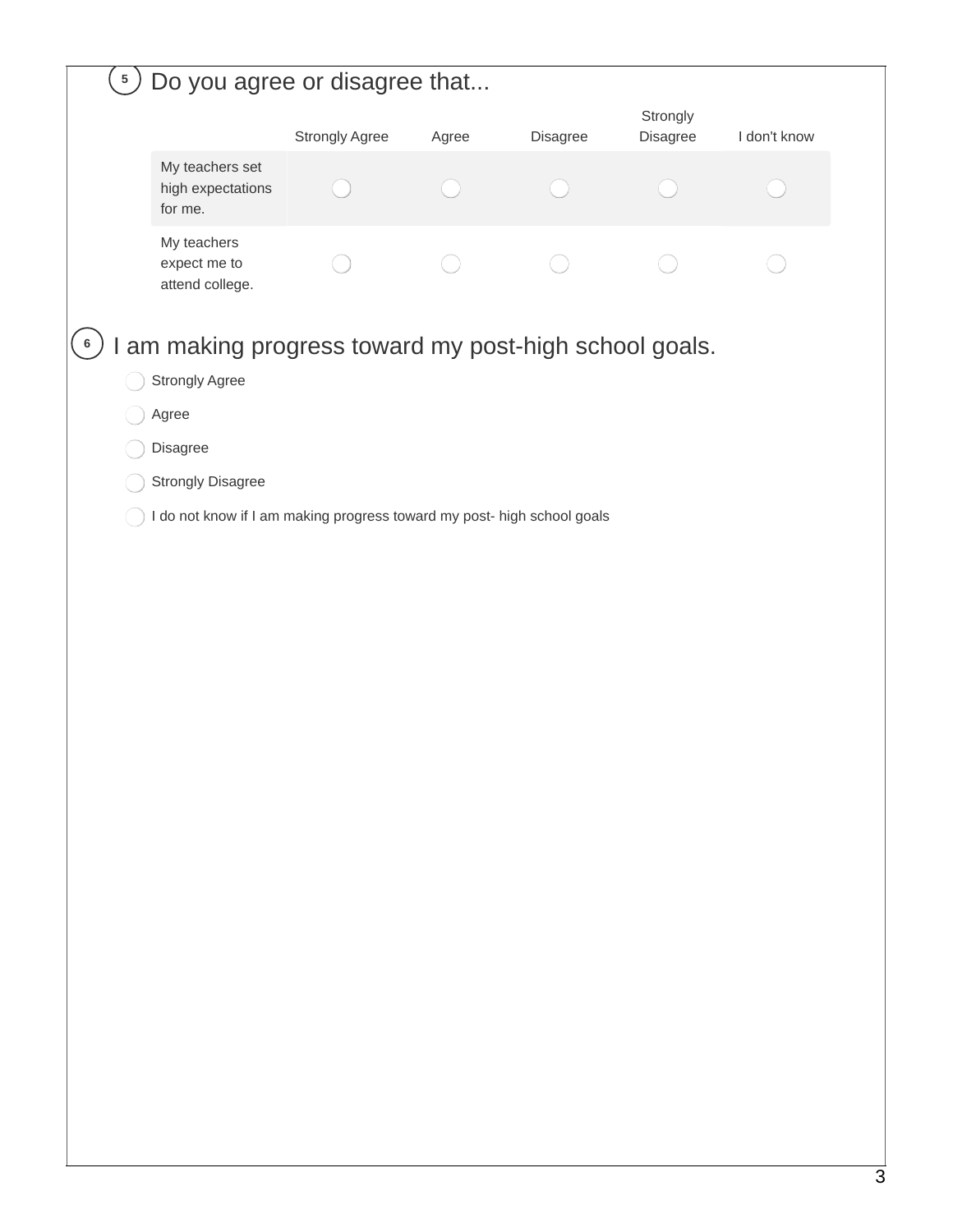| $\left(5\right)$ | Do you agree or disagree that                                           |                |       |          |                      |              |  |
|------------------|-------------------------------------------------------------------------|----------------|-------|----------|----------------------|--------------|--|
|                  |                                                                         | Strongly Agree | Agree | Disagree | Strongly<br>Disagree | I don't know |  |
|                  | My teachers set<br>high expectations<br>for me.                         |                |       |          |                      |              |  |
|                  | My teachers<br>expect me to<br>attend college.                          |                |       |          |                      |              |  |
| $6\phantom{.}6$  | I am making progress toward my post-high school goals.                  |                |       |          |                      |              |  |
|                  | Strongly Agree                                                          |                |       |          |                      |              |  |
|                  | Agree                                                                   |                |       |          |                      |              |  |
|                  | Disagree                                                                |                |       |          |                      |              |  |
|                  | <b>Strongly Disagree</b>                                                |                |       |          |                      |              |  |
|                  | I do not know if I am making progress toward my post- high school goals |                |       |          |                      |              |  |
|                  |                                                                         |                |       |          |                      |              |  |
|                  |                                                                         |                |       |          |                      |              |  |
|                  |                                                                         |                |       |          |                      |              |  |
|                  |                                                                         |                |       |          |                      |              |  |
|                  |                                                                         |                |       |          |                      |              |  |
|                  |                                                                         |                |       |          |                      |              |  |
|                  |                                                                         |                |       |          |                      |              |  |
|                  |                                                                         |                |       |          |                      |              |  |
|                  |                                                                         |                |       |          |                      |              |  |
|                  |                                                                         |                |       |          |                      |              |  |
|                  |                                                                         |                |       |          |                      |              |  |
|                  |                                                                         |                |       |          |                      |              |  |
|                  |                                                                         |                |       |          |                      |              |  |
|                  |                                                                         |                |       |          |                      |              |  |
|                  |                                                                         |                |       |          |                      |              |  |
|                  |                                                                         |                |       |          |                      |              |  |
|                  |                                                                         |                |       |          |                      |              |  |
|                  |                                                                         |                |       |          |                      |              |  |
|                  |                                                                         |                |       |          |                      |              |  |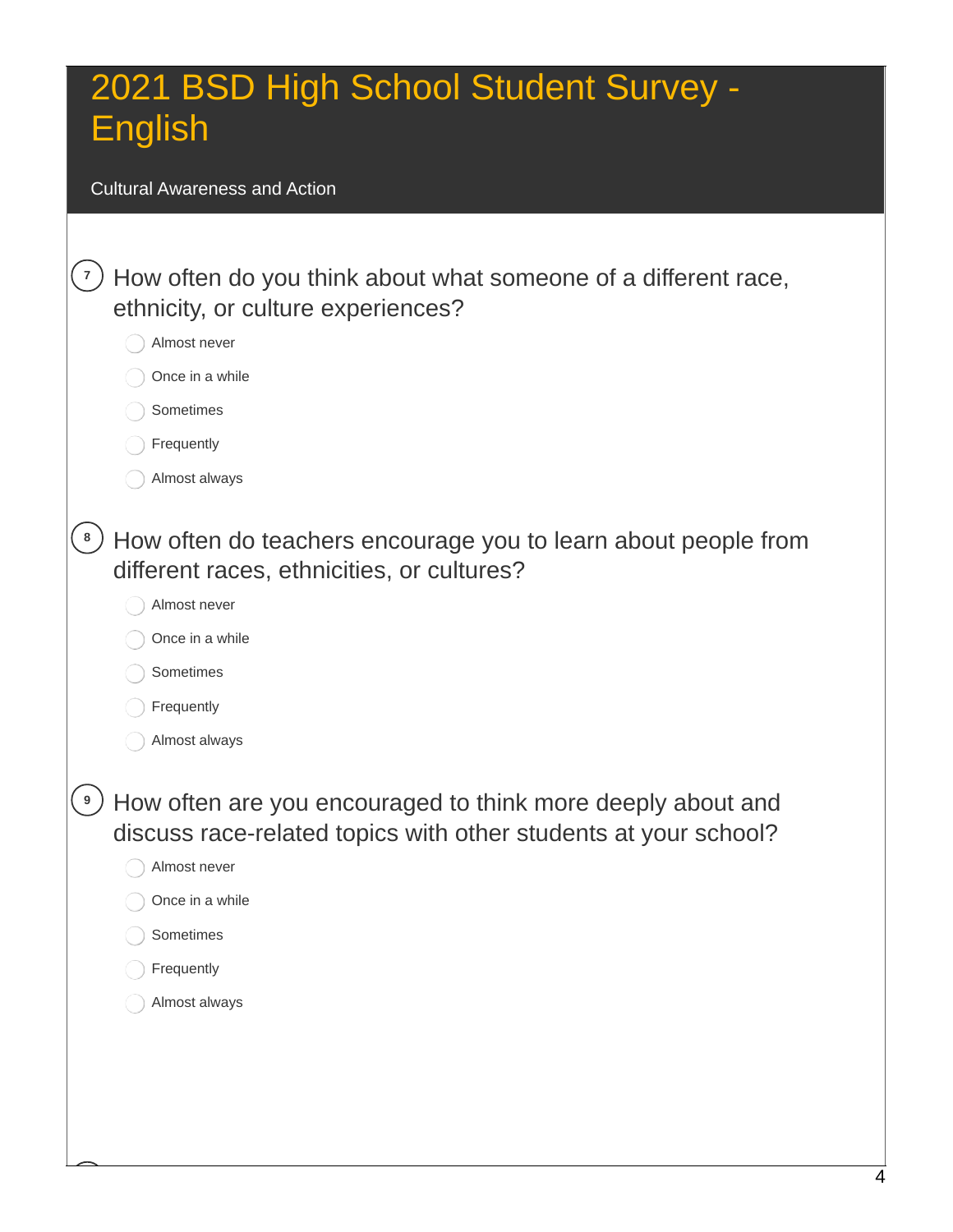Cultural Awareness and Action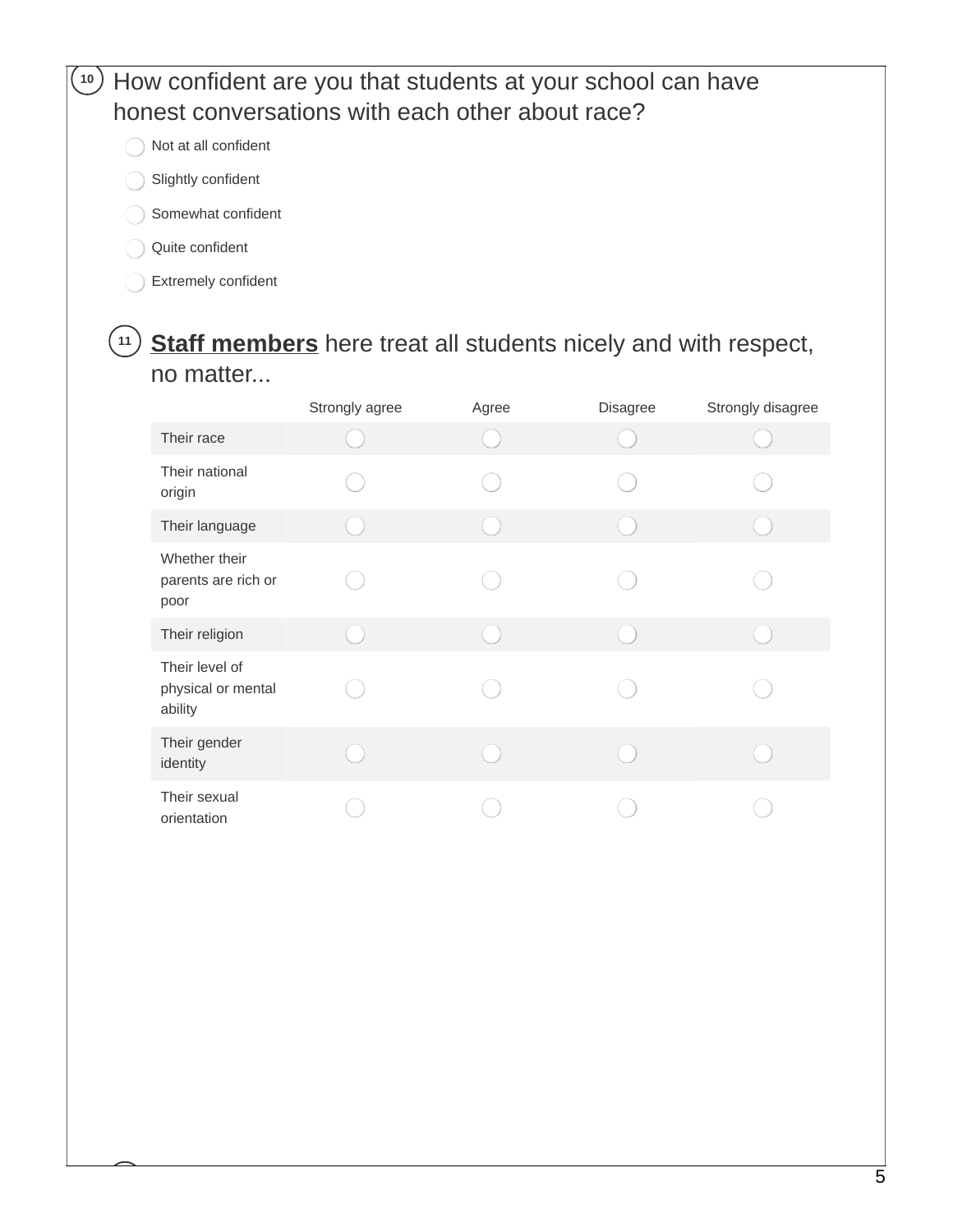### **<sup>10</sup>** How confident are you that students at your school can have honest conversations with each other about race?

- Not at all confident
- Slightly confident
- Somewhat confident
- Quite confident
- Extremely confident

### **<sup>11</sup> Staff members** here treat all students nicely and with respect, no matter...

|                                                 | Strongly agree | Agree | Disagree | Strongly disagree |
|-------------------------------------------------|----------------|-------|----------|-------------------|
| Their race                                      |                |       |          |                   |
| Their national<br>origin                        |                |       |          |                   |
| Their language                                  |                |       |          |                   |
| Whether their<br>parents are rich or<br>poor    |                |       |          |                   |
| Their religion                                  |                |       |          |                   |
| Their level of<br>physical or mental<br>ability |                |       |          |                   |
| Their gender<br>identity                        |                |       |          |                   |
| Their sexual<br>orientation                     |                |       |          |                   |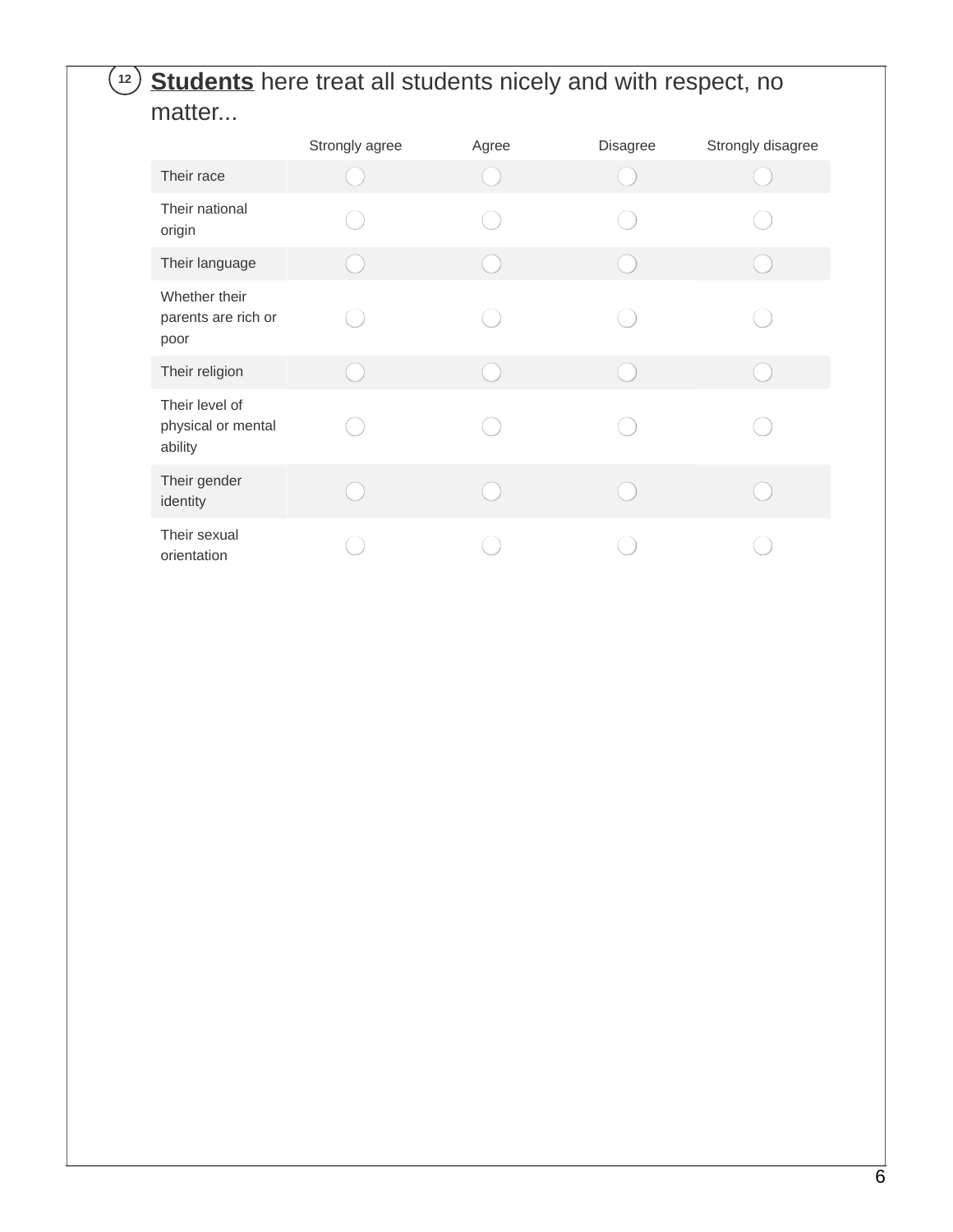### **<sup>12</sup> Students** here treat all students nicely and with respect, no matter...

|                                                 | Strongly agree | Agree | Disagree | Strongly disagree |
|-------------------------------------------------|----------------|-------|----------|-------------------|
| Their race                                      |                |       |          |                   |
| Their national<br>origin                        |                |       |          |                   |
| Their language                                  |                |       |          |                   |
| Whether their<br>parents are rich or<br>poor    |                |       |          |                   |
| Their religion                                  |                |       |          |                   |
| Their level of<br>physical or mental<br>ability |                |       |          |                   |
| Their gender<br>identity                        |                |       |          |                   |
| Their sexual<br>orientation                     |                |       |          |                   |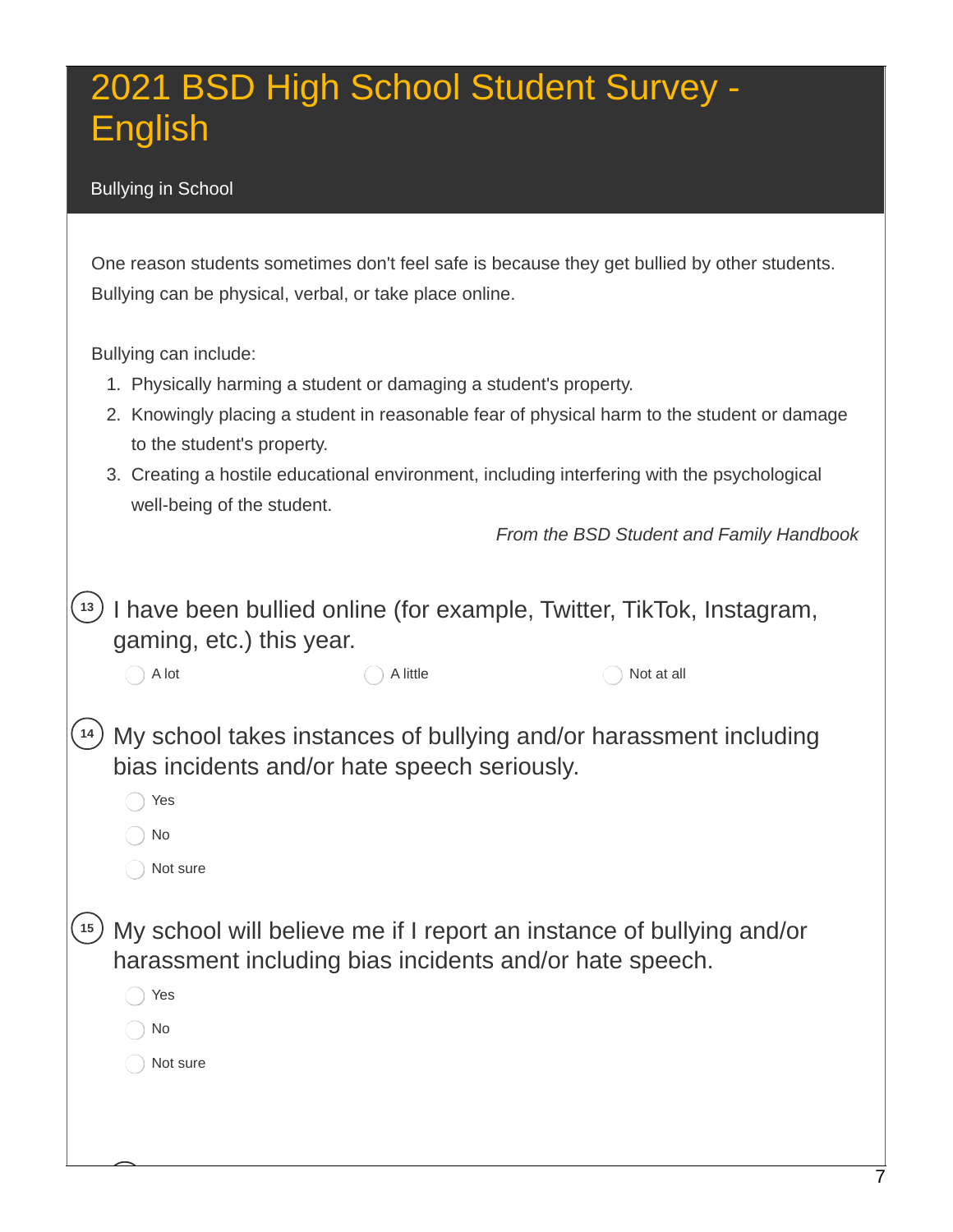#### Bullying in School

 One reason students sometimes don't feel safe is because they get bullied by other students. Bullying can be physical, verbal, or take place online.

Bullying can include:

- 1. Physically harming a student or damaging a student's property.
- 2. Knowingly placing a student in reasonable fear of physical harm to the student or damage to the student's property.
- 3. Creating a hostile educational environment, including interfering with the psychological well-being of the student.

 *From the BSD Student and Family Handbook*

 **<sup>13</sup>** I have been bullied online (for example, Twitter, TikTok, Instagram, gaming, etc.) this year.

Not at all **<sup>14</sup>** My school takes instances of bullying and/or harassment including bias incidents and/or hate speech seriously. A lot A lot A lot A little  $\bigcap$  A little  $\bigcap$  Not at all

Yes

No

Not sure

 **<sup>15</sup>** My school will believe me if I report an instance of bullying and/or harassment including bias incidents and/or hate speech.

◯ Yes

No

Not sure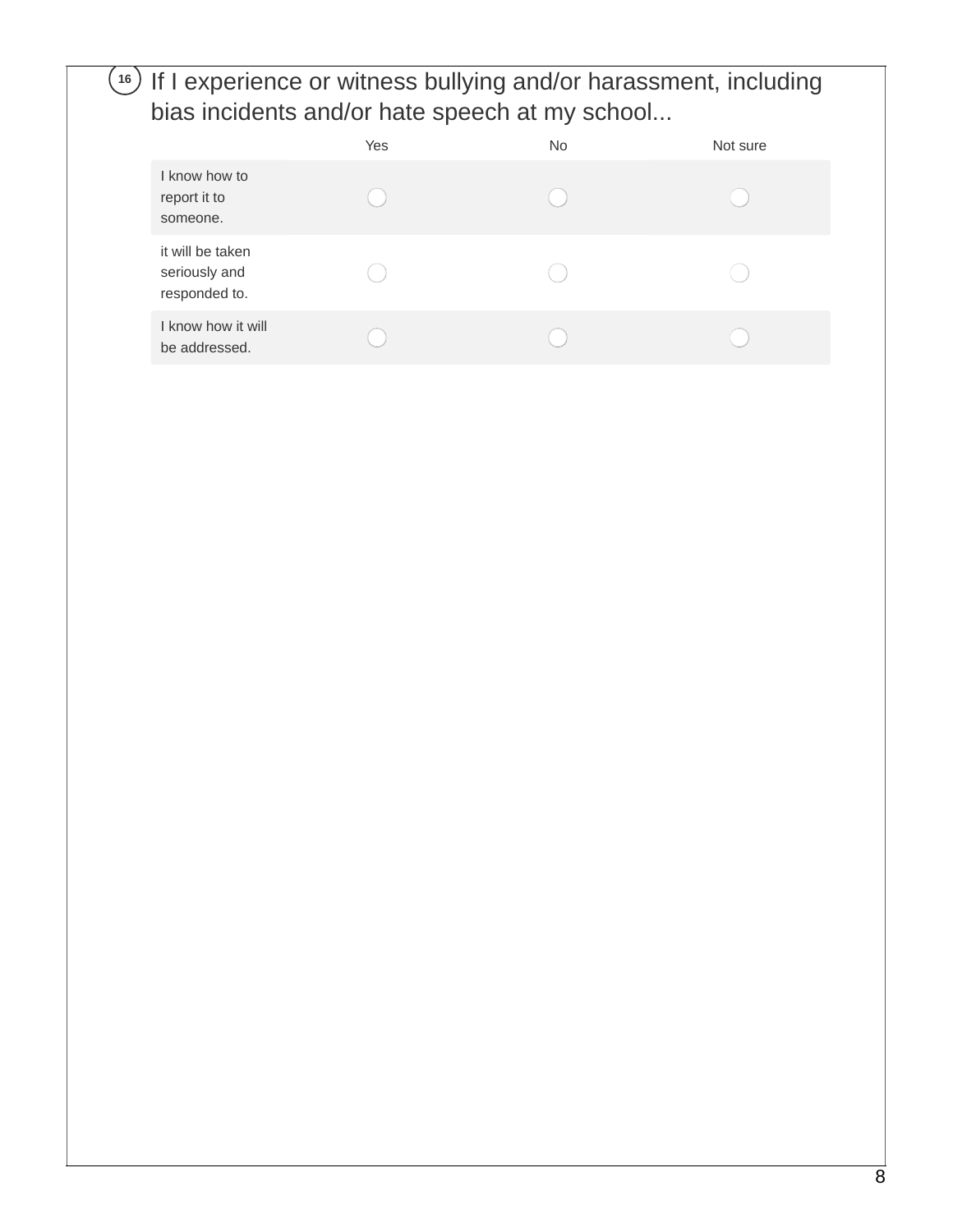### **<sup>16</sup>** If I experience or witness bullying and/or harassment, including bias incidents and/or hate speech at my school...

|                                                    | Yes | No. | Not sure |
|----------------------------------------------------|-----|-----|----------|
| I know how to<br>report it to<br>someone.          |     |     |          |
| it will be taken<br>seriously and<br>responded to. |     |     |          |
| I know how it will<br>be addressed.                |     |     |          |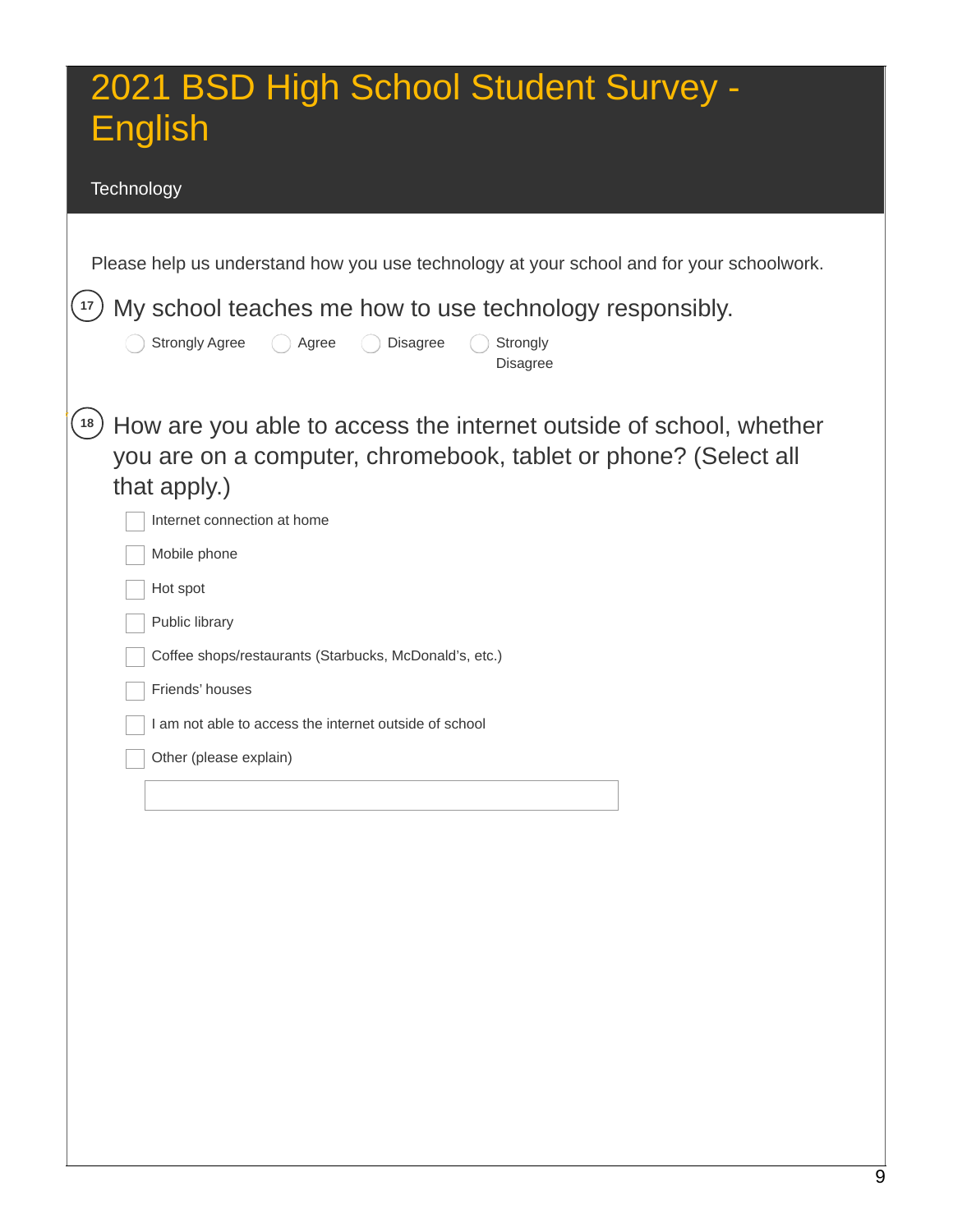#### **Technology**

**<sup>17</sup>** My school teaches me how to use technology responsibly.

| <b>Strongly Agree</b><br><b>Disagree</b><br>$\bigcirc$ Agree<br>Strongly  |
|---------------------------------------------------------------------------|
| <b>Disagree</b>                                                           |
|                                                                           |
| $(18)$ How are you able to access the internet outside of school, whether |
| you are on a computer, chromebook, tablet or phone? (Select all           |
| that apply.)                                                              |

| Internet connection at home                            |
|--------------------------------------------------------|
| Mobile phone                                           |
| Hot spot                                               |
| Public library                                         |
| Coffee shops/restaurants (Starbucks, McDonald's, etc.) |
| Friends' houses                                        |
| I am not able to access the internet outside of school |
| Other (please explain)                                 |
|                                                        |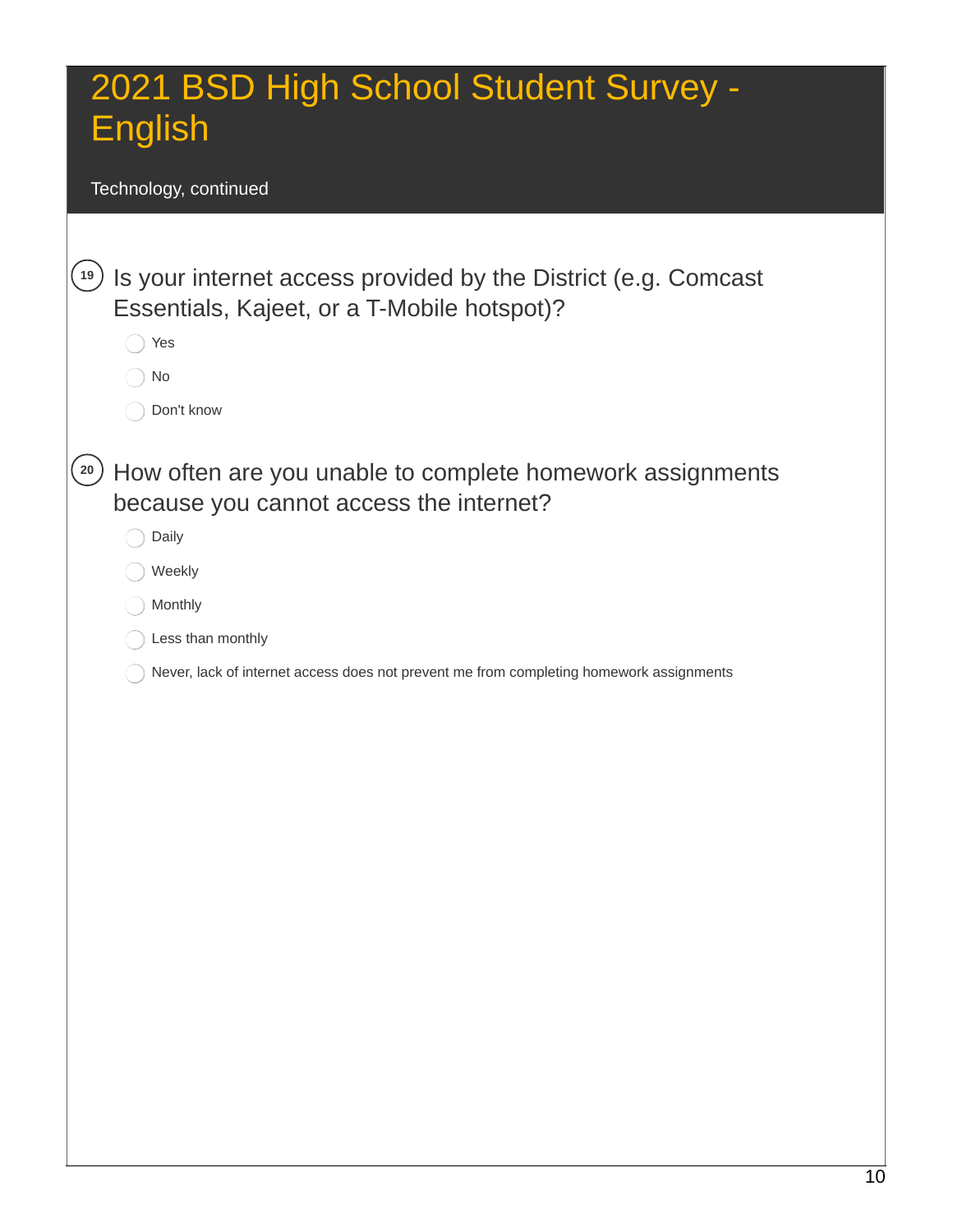Technology, continued

| 19              | Is your internet access provided by the District (e.g. Comcast<br>Essentials, Kajeet, or a T-Mobile hotspot)?<br>Yes<br>No<br>Don't know                                                                                                           |
|-----------------|----------------------------------------------------------------------------------------------------------------------------------------------------------------------------------------------------------------------------------------------------|
| 20 <sub>2</sub> | How often are you unable to complete homework assignments<br>because you cannot access the internet?<br>Daily<br>Weekly<br>Monthly<br>Less than monthly<br>Never, lack of internet access does not prevent me from completing homework assignments |
|                 |                                                                                                                                                                                                                                                    |
|                 |                                                                                                                                                                                                                                                    |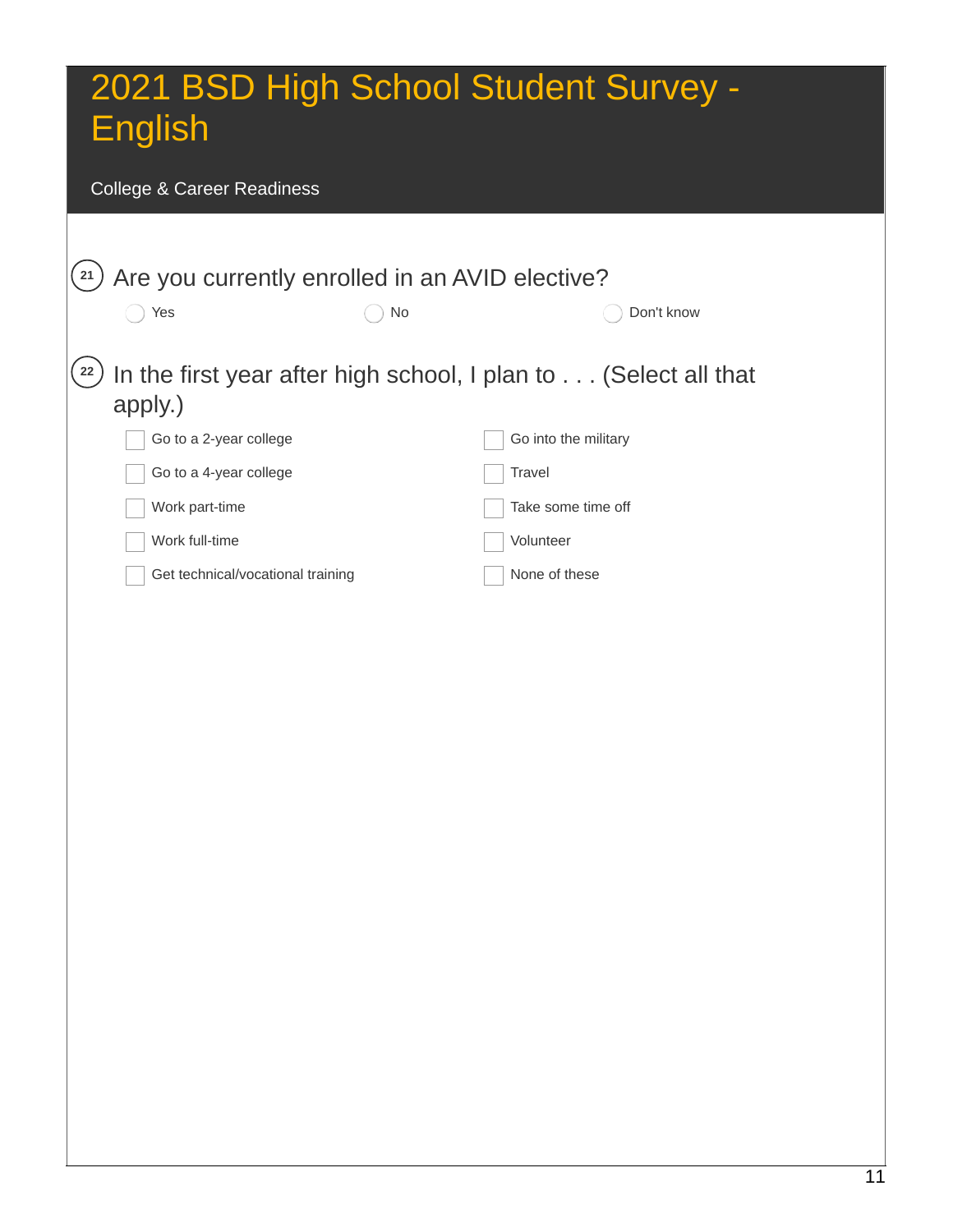#### College & Career Readiness

|                                   | Are you currently enrolled in an AVID elective? |                                                                 |
|-----------------------------------|-------------------------------------------------|-----------------------------------------------------------------|
| Yes                               | No                                              | Don't know                                                      |
|                                   |                                                 |                                                                 |
|                                   |                                                 | In the first year after high school, I plan to (Select all that |
| apply.)                           |                                                 |                                                                 |
| Go to a 2-year college            |                                                 | Go into the military                                            |
| Go to a 4-year college            |                                                 | Travel                                                          |
| Work part-time                    |                                                 | Take some time off                                              |
| Work full-time                    |                                                 | Volunteer                                                       |
| Get technical/vocational training |                                                 | None of these                                                   |
|                                   |                                                 |                                                                 |
|                                   |                                                 |                                                                 |
|                                   |                                                 |                                                                 |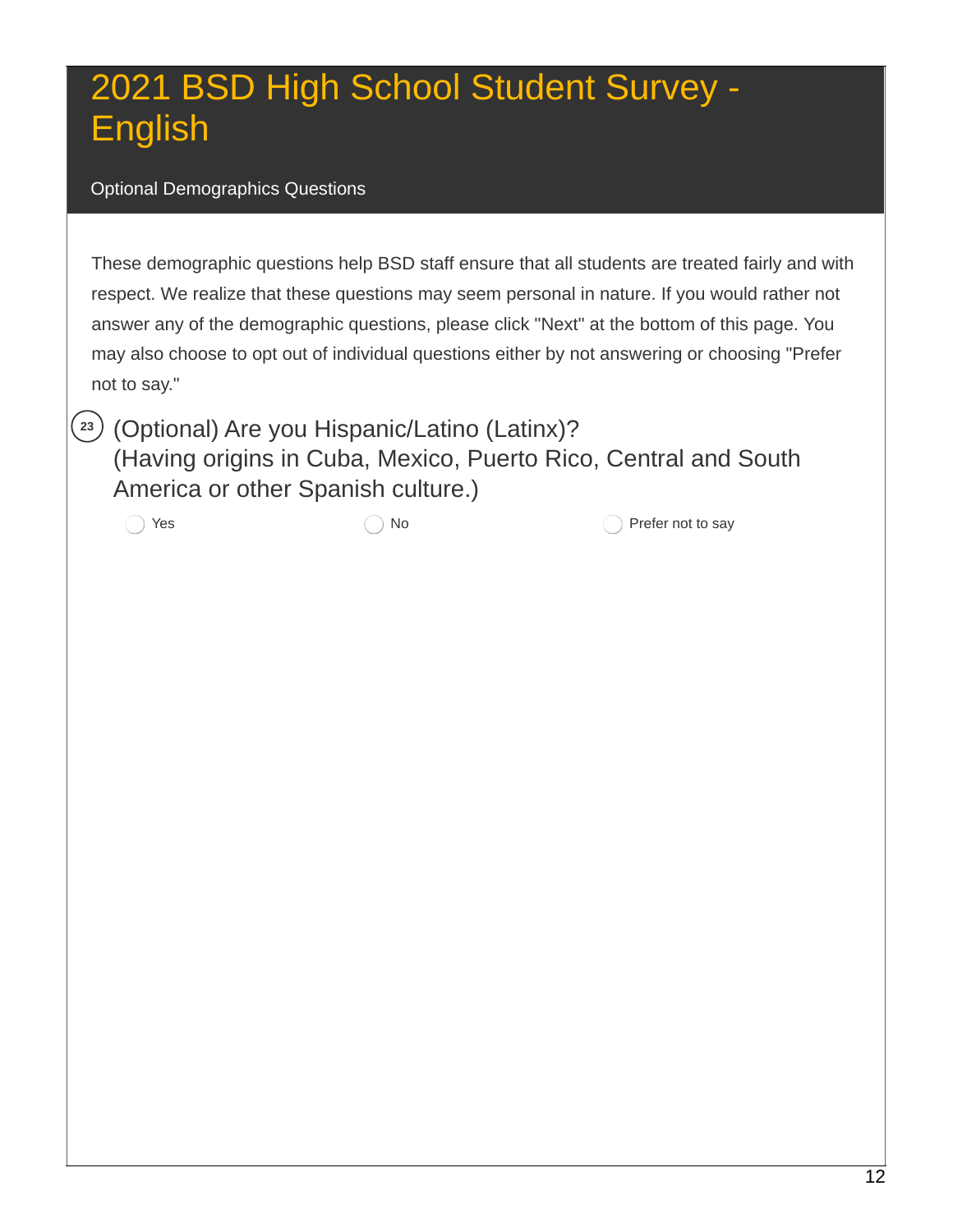#### Optional Demographics Questions

 These demographic questions help BSD staff ensure that all students are treated fairly and with respect. We realize that these questions may seem personal in nature. If you would rather not answer any of the demographic questions, please click "Next" at the bottom of this page. You may also choose to opt out of individual questions either by not answering or choosing "Prefer not to say."

 (Optional) Are you Hispanic/Latino (Latinx)? (Having origins in Cuba, Mexico, Puerto Rico, Central and South America or other Spanish culture.)

**23**

Yes  $\bigcirc$  No  $\bigcirc$  Prefer not to say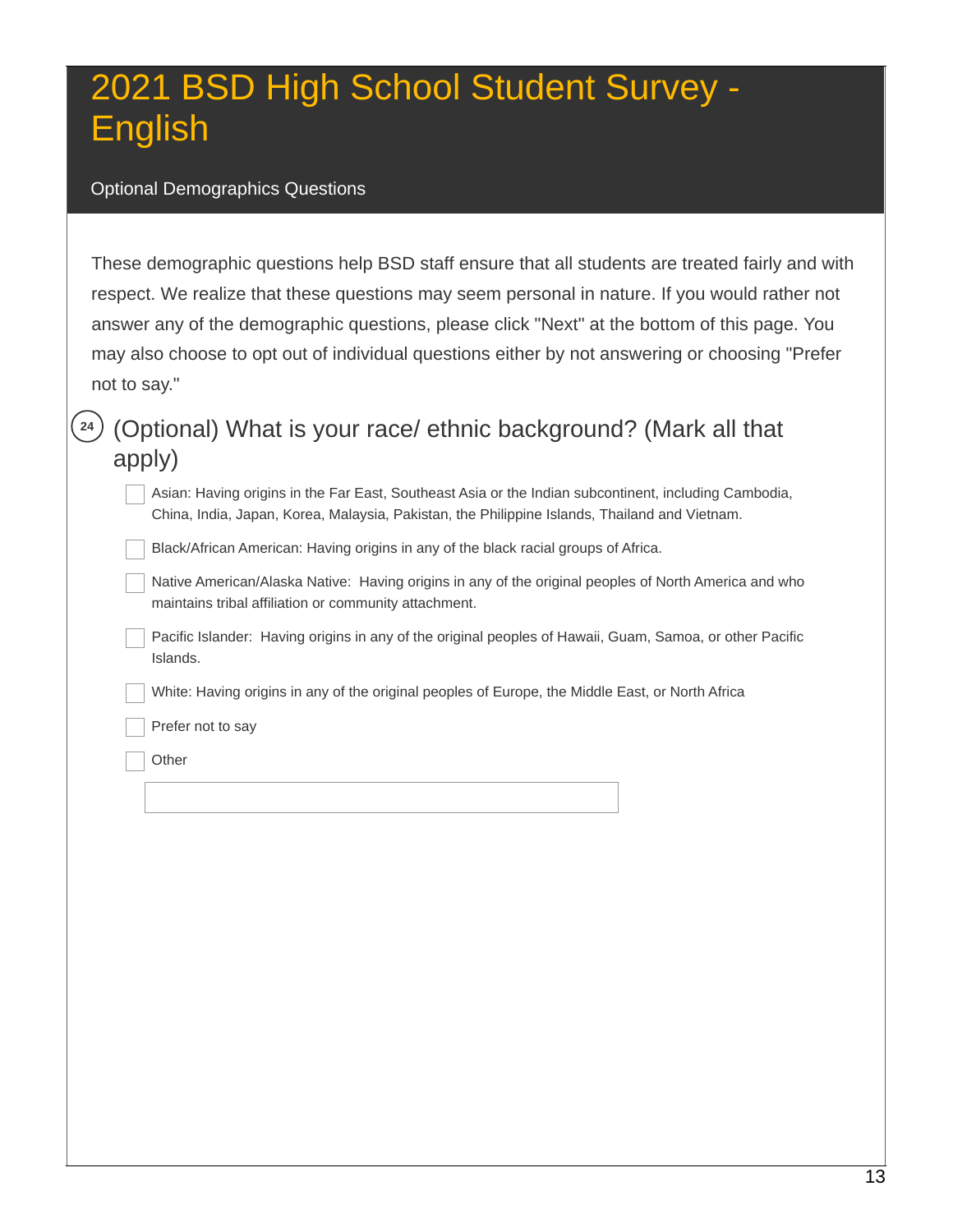#### Optional Demographics Questions

 These demographic questions help BSD staff ensure that all students are treated fairly and with respect. We realize that these questions may seem personal in nature. If you would rather not answer any of the demographic questions, please click "Next" at the bottom of this page. You may also choose to opt out of individual questions either by not answering or choosing "Prefer not to say."

### **<sup>24</sup>** (Optional) What is your race/ ethnic background? (Mark all that apply)

 Asian: Having origins in the Far East, Southeast Asia or the Indian subcontinent, including Cambodia, China, India, Japan, Korea, Malaysia, Pakistan, the Philippine Islands, Thailand and Vietnam.

Black/African American: Having origins in any of the black racial groups of Africa.

 Native American/Alaska Native: Having origins in any of the original peoples of North America and who maintains tribal affiliation or community attachment.

 Pacific Islander: Having origins in any of the original peoples of Hawaii, Guam, Samoa, or other Pacific Islands.

White: Having origins in any of the original peoples of Europe, the Middle East, or North Africa

Prefer not to say

**Other**